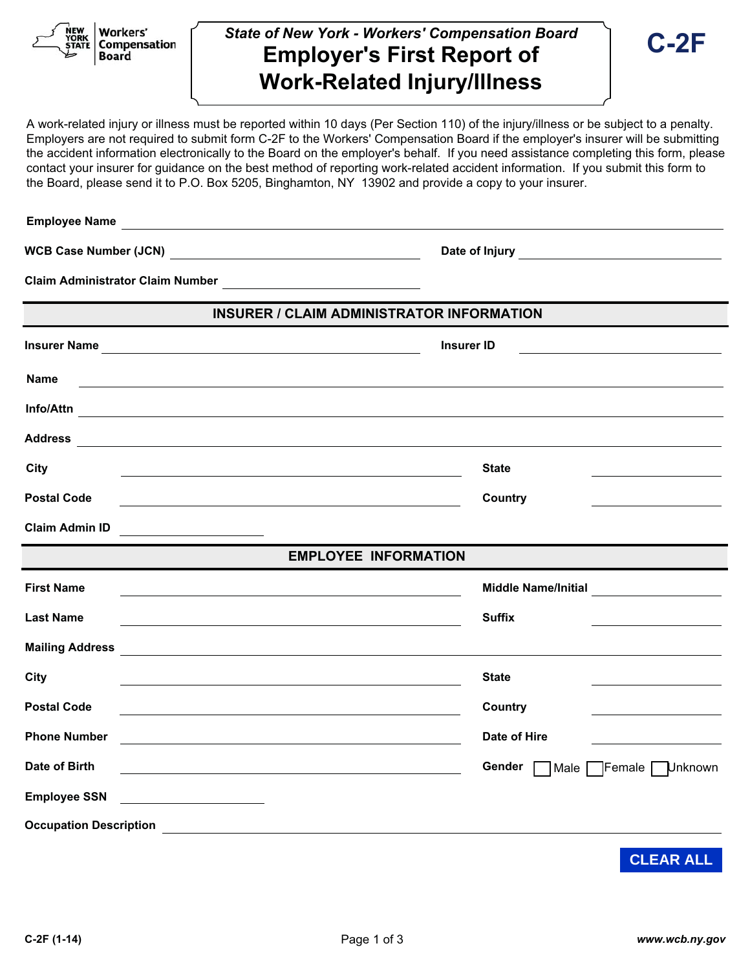Workers' **Compensation Board** 

## *State of New York - Workers' Compensation Board*  **Employer's First Report of Work-Related Injury/Illness**

A work-related injury or illness must be reported within 10 days (Per Section 110) of the injury/illness or be subject to a penalty. Employers are not required to submit form C-2F to the Workers' Compensation Board if the employer's insurer will be submitting the accident information electronically to the Board on the employer's behalf. If you need assistance completing this form, please contact your insurer for guidance on the best method of reporting work-related accident information. If you submit this form to the Board, please send it to P.O. Box 5205, Binghamton, NY 13902 and provide a copy to your insurer.

| <b>Employee Name</b>                                                                                                                          |                                                                       |  |  |  |
|-----------------------------------------------------------------------------------------------------------------------------------------------|-----------------------------------------------------------------------|--|--|--|
|                                                                                                                                               | Date of Injury <b>Container the Contract of Injury</b>                |  |  |  |
|                                                                                                                                               |                                                                       |  |  |  |
| <b>INSURER / CLAIM ADMINISTRATOR INFORMATION</b>                                                                                              |                                                                       |  |  |  |
|                                                                                                                                               | <b>Insurer ID</b>                                                     |  |  |  |
| <b>Name</b><br><u> 1989 - Johann Stein, mars an deutscher Stein und der Stein und der Stein und der Stein und der Stein und der</u>           |                                                                       |  |  |  |
| Info/Attn                                                                                                                                     |                                                                       |  |  |  |
|                                                                                                                                               |                                                                       |  |  |  |
| City<br><u> 1989 - Johann Stoff, Amerikaansk politiker († 1908)</u>                                                                           | <b>State</b>                                                          |  |  |  |
| <b>Postal Code</b>                                                                                                                            | Country                                                               |  |  |  |
| <b>Claim Admin ID</b>                                                                                                                         |                                                                       |  |  |  |
|                                                                                                                                               | <b>EMPLOYEE INFORMATION</b>                                           |  |  |  |
| <b>First Name</b>                                                                                                                             | <b>Middle Name/Initial</b><br><u> 1990 - Johann Barbara, martxa a</u> |  |  |  |
| <b>Last Name</b>                                                                                                                              | <b>Suffix</b>                                                         |  |  |  |
| Mailing Address <b>Communication of the Communication of the Communication</b>                                                                |                                                                       |  |  |  |
| City                                                                                                                                          | <b>State</b>                                                          |  |  |  |
| <b>Postal Code</b>                                                                                                                            | Country                                                               |  |  |  |
| <b>Phone Number</b><br><u> 1989 - Johann Stoff, deutscher Stoffen und der Stoffen und der Stoffen und der Stoffen und der Stoffen und der</u> | Date of Hire                                                          |  |  |  |
| Date of Birth                                                                                                                                 | Gender<br>Male FFemale Unknown                                        |  |  |  |
| <b>Employee SSN</b><br><u> 1999 - Johann Barbara, martin d</u>                                                                                |                                                                       |  |  |  |
| <b>Occupation Description</b><br><u> 1989 - John Stein, Amerikaansk politiker (</u>                                                           |                                                                       |  |  |  |

**CLEAR ALL**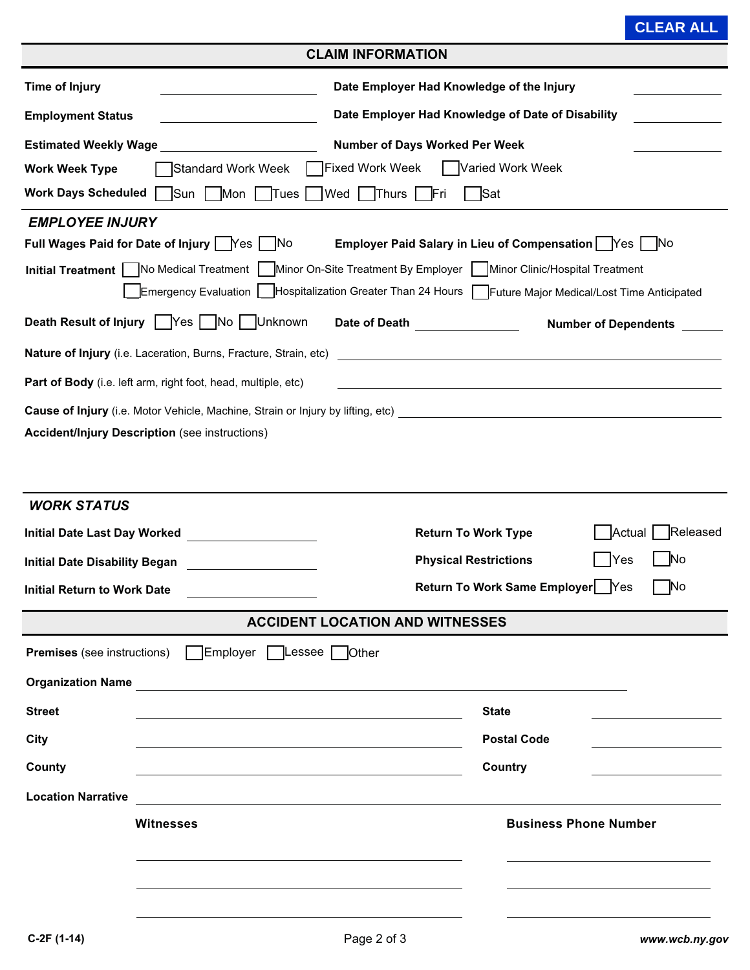## **CLEAR ALL**

| <b>CLAIM INFORMATION</b>                                                                   |                                                                                                                       |  |
|--------------------------------------------------------------------------------------------|-----------------------------------------------------------------------------------------------------------------------|--|
| <b>Time of Injury</b>                                                                      | Date Employer Had Knowledge of the Injury                                                                             |  |
| <b>Employment Status</b>                                                                   | Date Employer Had Knowledge of Date of Disability                                                                     |  |
| <b>Estimated Weekly Wage</b>                                                               | <b>Number of Days Worked Per Week</b>                                                                                 |  |
| Standard Work Week<br><b>Work Week Type</b>                                                | <b>Fixed Work Week</b><br>Varied Work Week                                                                            |  |
| $\Box$ Sun $\Box$ Mon $\Box$ Tues<br><b>Work Days Scheduled</b>                            | Wed Thurs  <br>Sat<br>lFri.                                                                                           |  |
| <b>EMPLOYEE INJURY</b>                                                                     |                                                                                                                       |  |
| Full Wages Paid for Date of Injury   Yes  <br>– INo                                        | Employer Paid Salary in Lieu of Compensation   Yes<br>– INo                                                           |  |
| Initial Treatment   No Medical Treatment                                                   | Minor On-Site Treatment By Employer   Minor Clinic/Hospital Treatment                                                 |  |
| Emergency Evaluation                                                                       | Hospitalization Greater Than 24 Hours   Future Major Medical/Lost Time Anticipated                                    |  |
| Death Result of Injury   Yes   No   Unknown                                                | Date of Death ________________<br><b>Number of Dependents</b>                                                         |  |
| Nature of Injury (i.e. Laceration, Burns, Fracture, Strain, etc)                           | <u> 1989 - Johann Stoff, deutscher Stoff, der Stoff, der Stoff, der Stoff, der Stoff, der Stoff, der Stoff, der S</u> |  |
| Part of Body (i.e. left arm, right foot, head, multiple, etc)                              | <u> 1989 - Andrea Stadt Britain, amerikansk politik (* 1958)</u>                                                      |  |
|                                                                                            |                                                                                                                       |  |
| <b>Accident/Injury Description (see instructions)</b>                                      |                                                                                                                       |  |
|                                                                                            |                                                                                                                       |  |
| <b>WORK STATUS</b>                                                                         |                                                                                                                       |  |
| <b>Initial Date Last Day Worked</b><br><u> 1990 - Jan Barbara Barat, prima politik (</u>   | Released<br><b>Return To Work Type</b><br><b>Actual</b>                                                               |  |
| <b>Initial Date Disability Began</b>                                                       | <b>Physical Restrictions</b><br><b>No</b><br>Yes                                                                      |  |
| <b>Initial Return to Work Date</b>                                                         | Return To Work Same Employer<br>No<br>Yes                                                                             |  |
|                                                                                            |                                                                                                                       |  |
|                                                                                            | <b>ACCIDENT LOCATION AND WITNESSES</b>                                                                                |  |
| Employer Lessee Other<br><b>Premises</b> (see instructions)                                |                                                                                                                       |  |
| Organization Name                                                                          |                                                                                                                       |  |
| <b>Street</b>                                                                              | <b>State</b>                                                                                                          |  |
| City                                                                                       | <b>Postal Code</b>                                                                                                    |  |
| County                                                                                     | <b>Country</b>                                                                                                        |  |
| <b>Location Narrative</b><br><u> 1980 - Andrea Stadt Britain, fransk politik (d. 1980)</u> |                                                                                                                       |  |
| <b>Witnesses</b>                                                                           | <b>Business Phone Number</b>                                                                                          |  |
|                                                                                            |                                                                                                                       |  |
|                                                                                            |                                                                                                                       |  |
|                                                                                            |                                                                                                                       |  |